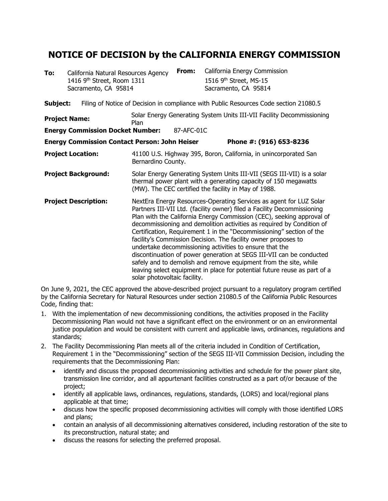## **NOTICE OF DECISION by the CALIFORNIA ENERGY COMMISSION**

| To:                        |  | California Natural Resources Agency<br>1416 9th Street, Room 1311<br>Sacramento, CA 95814 | From:                                                                                                                                                                                             | California Energy Commission<br>1516 9 <sup>th</sup> Street, MS-15<br>Sacramento, CA 95814                                                                                                                                                                                                                                                                                                                                                                                                                                                                                                                                                                                                                                    |  |  |
|----------------------------|--|-------------------------------------------------------------------------------------------|---------------------------------------------------------------------------------------------------------------------------------------------------------------------------------------------------|-------------------------------------------------------------------------------------------------------------------------------------------------------------------------------------------------------------------------------------------------------------------------------------------------------------------------------------------------------------------------------------------------------------------------------------------------------------------------------------------------------------------------------------------------------------------------------------------------------------------------------------------------------------------------------------------------------------------------------|--|--|
| Subject:                   |  |                                                                                           |                                                                                                                                                                                                   | Filing of Notice of Decision in compliance with Public Resources Code section 21080.5                                                                                                                                                                                                                                                                                                                                                                                                                                                                                                                                                                                                                                         |  |  |
| <b>Project Name:</b>       |  |                                                                                           | Solar Energy Generating System Units III-VII Facility Decommissioning<br>Plan                                                                                                                     |                                                                                                                                                                                                                                                                                                                                                                                                                                                                                                                                                                                                                                                                                                                               |  |  |
|                            |  | <b>Energy Commission Docket Number:</b>                                                   | 87-AFC-01C                                                                                                                                                                                        |                                                                                                                                                                                                                                                                                                                                                                                                                                                                                                                                                                                                                                                                                                                               |  |  |
|                            |  |                                                                                           | <b>Energy Commission Contact Person: John Heiser</b>                                                                                                                                              | Phone #: (916) 653-8236                                                                                                                                                                                                                                                                                                                                                                                                                                                                                                                                                                                                                                                                                                       |  |  |
| <b>Project Location:</b>   |  |                                                                                           | Bernardino County.                                                                                                                                                                                | 41100 U.S. Highway 395, Boron, California, in unincorporated San                                                                                                                                                                                                                                                                                                                                                                                                                                                                                                                                                                                                                                                              |  |  |
| <b>Project Background:</b> |  |                                                                                           | Solar Energy Generating System Units III-VII (SEGS III-VII) is a solar<br>thermal power plant with a generating capacity of 150 megawatts<br>(MW). The CEC certified the facility in May of 1988. |                                                                                                                                                                                                                                                                                                                                                                                                                                                                                                                                                                                                                                                                                                                               |  |  |
|                            |  | <b>Project Description:</b>                                                               | solar photovoltaic facility.                                                                                                                                                                      | NextEra Energy Resources-Operating Services as agent for LUZ Solar<br>Partners III-VII Ltd. (facility owner) filed a Facility Decommissioning<br>Plan with the California Energy Commission (CEC), seeking approval of<br>decommissioning and demolition activities as required by Condition of<br>Certification, Requirement 1 in the "Decommissioning" section of the<br>facility's Commission Decision. The facility owner proposes to<br>undertake decommissioning activities to ensure that the<br>discontinuation of power generation at SEGS III-VII can be conducted<br>safely and to demolish and remove equipment from the site, while<br>leaving select equipment in place for potential future reuse as part of a |  |  |

On June 9, 2021, the CEC approved the above-described project pursuant to a regulatory program certified by the California Secretary for Natural Resources under section 21080.5 of the California Public Resources Code, finding that:

- 1. With the implementation of new decommissioning conditions, the activities proposed in the Facility Decommissioning Plan would not have a significant effect on the environment or on an environmental justice population and would be consistent with current and applicable laws, ordinances, regulations and standards;
- 2. The Facility Decommissioning Plan meets all of the criteria included in Condition of Certification, Requirement 1 in the "Decommissioning" section of the SEGS III-VII Commission Decision, including the requirements that the Decommissioning Plan:
	- identify and discuss the proposed decommissioning activities and schedule for the power plant site, transmission line corridor, and all appurtenant facilities constructed as a part of/or because of the project;
	- identify all applicable laws, ordinances, regulations, standards, (LORS) and local/regional plans applicable at that time;
	- discuss how the specific proposed decommissioning activities will comply with those identified LORS and plans;
	- contain an analysis of all decommissioning alternatives considered, including restoration of the site to its preconstruction, natural state; and
	- discuss the reasons for selecting the preferred proposal.